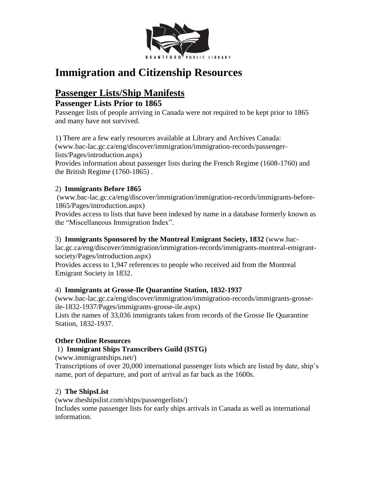

# **Immigration and Citizenship Resources**

# **Passenger Lists/Ship Manifests**

#### **Passenger Lists Prior to 1865**

Passenger lists of people arriving in Canada were not required to be kept prior to 1865 and many have not survived.

1) There are a few early resources available at Library and Archives Canada: (www.bac-lac.gc.ca/eng/discover/immigration/immigration-records/passengerlists/Pages/introduction.aspx)

Provides information about passenger lists during the French Regime (1608-1760) and the British Regime (1760-1865) .

#### 2) **Immigrants Before 1865**

(www.bac-lac.gc.ca/eng/discover/immigration/immigration-records/immigrants-before-1865/Pages/introduction.aspx)

Provides access to lists that have been indexed by name in a database formerly known as the "Miscellaneous Immigration Index".

#### 3) **Immigrants Sponsored by the Montreal Emigrant Society, 1832** (www.bac-

lac.gc.ca/eng/discover/immigration/immigration-records/immigrants-montreal-emigrantsociety/Pages/introduction.aspx)

Provides access to 1,947 references to people who received aid from the Montreal Emigrant Society in 1832.

#### 4) **Immigrants at Grosse-Ile Quarantine Station, 1832-1937**

(www.bac-lac.gc.ca/eng/discover/immigration/immigration-records/immigrants-grosseile-1832-1937/Pages/immigrants-grosse-ile.aspx) Lists the names of 33,036 immigrants taken from records of the Grosse Ile Quarantine Station, 1832-1937.

#### **Other Online Resources**

#### 1) **Immigrant Ships Transcribers Guild (ISTG)**

(www.immigrantships.net/)

Transcriptions of over 20,000 international passenger lists which are listed by date, ship's name, port of departure, and port of arrival as far back as the 1600s.

#### 2) **The ShipsList**

(www.theshipslist.com/ships/passengerlists/) Includes some passenger lists for early ships arrivals in Canada as well as international information.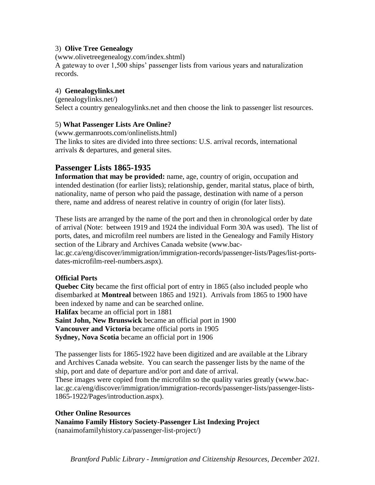#### 3) **Olive Tree Genealogy**

(www.olivetreegenealogy.com/index.shtml) A gateway to over 1,500 ships' passenger lists from various years and naturalization records.

#### 4) **Genealogylinks.net**

(genealogylinks.net/) Select a country genealogylinks.net and then choose the link to passenger list resources.

#### 5) **What Passenger Lists Are Online?**

(www.germanroots.com/onlinelists.html) The links to sites are divided into three sections: U.S. arrival records, international arrivals & departures, and general sites.

#### **Passenger Lists 1865-1935**

**Information that may be provided:** name, age, country of origin, occupation and intended destination (for earlier lists); relationship, gender, marital status, place of birth, nationality, name of person who paid the passage, destination with name of a person there, name and address of nearest relative in country of origin (for later lists).

These lists are arranged by the name of the port and then in chronological order by date of arrival (Note: between 1919 and 1924 the individual Form 30A was used). The list of ports, dates, and microfilm reel numbers are listed in the Genealogy and Family History section of the Library and Archives Canada website (www.bac-

lac.gc.ca/eng/discover/immigration/immigration-records/passenger-lists/Pages/list-portsdates-microfilm-reel-numbers.aspx).

#### **Official Ports**

**Quebec City** became the first official port of entry in 1865 (also included people who disembarked at **Montreal** between 1865 and 1921). Arrivals from 1865 to 1900 have been indexed by name and can be searched online.

**Halifax** became an official port in 1881

**Saint John, New Brunswick** became an official port in 1900

**Vancouver and Victoria** became official ports in 1905

**Sydney, Nova Scotia** became an official port in 1906

The passenger lists for 1865-1922 have been digitized and are available at the Library and Archives Canada website. You can search the passenger lists by the name of the ship, port and date of departure and/or port and date of arrival.

These images were copied from the microfilm so the quality varies greatly (www.baclac.gc.ca/eng/discover/immigration/immigration-records/passenger-lists/passenger-lists-1865-1922/Pages/introduction.aspx).

#### **Other Online Resources**

**Nanaimo Family History Society-Passenger List Indexing Project** (nanaimofamilyhistory.ca/passenger-list-project/)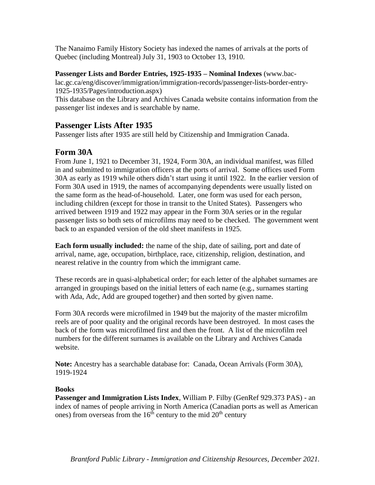The Nanaimo Family History Society has indexed the names of arrivals at the ports of Quebec (including Montreal) July 31, 1903 to October 13, 1910.

**Passenger Lists and Border Entries, 1925-1935 – Nominal Indexes** (www.bac-

lac.gc.ca/eng/discover/immigration/immigration-records/passenger-lists-border-entry-1925-1935/Pages/introduction.aspx)

This database on the Library and Archives Canada website contains information from the passenger list indexes and is searchable by name.

#### **Passenger Lists After 1935**

Passenger lists after 1935 are still held by Citizenship and Immigration Canada.

#### **Form 30A**

From June 1, 1921 to December 31, 1924, Form 30A, an individual manifest, was filled in and submitted to immigration officers at the ports of arrival. Some offices used Form 30A as early as 1919 while others didn't start using it until 1922. In the earlier version of Form 30A used in 1919, the names of accompanying dependents were usually listed on the same form as the head-of-household. Later, one form was used for each person, including children (except for those in transit to the United States). Passengers who arrived between 1919 and 1922 may appear in the Form 30A series or in the regular passenger lists so both sets of microfilms may need to be checked. The government went back to an expanded version of the old sheet manifests in 1925.

**Each form usually included:** the name of the ship, date of sailing, port and date of arrival, name, age, occupation, birthplace, race, citizenship, religion, destination, and nearest relative in the country from which the immigrant came.

These records are in quasi-alphabetical order; for each letter of the alphabet surnames are arranged in groupings based on the initial letters of each name (e.g., surnames starting with Ada, Adc, Add are grouped together) and then sorted by given name.

Form 30A records were microfilmed in 1949 but the majority of the master microfilm reels are of poor quality and the original records have been destroyed. In most cases the back of the form was microfilmed first and then the front. A list of the microfilm reel numbers for the different surnames is available on the Library and Archives Canada website.

**Note:** Ancestry has a searchable database for: Canada, Ocean Arrivals (Form 30A), 1919-1924

#### **Books**

**Passenger and Immigration Lists Index**, William P. Filby (GenRef 929.373 PAS) - an index of names of people arriving in North America (Canadian ports as well as American ones) from overseas from the  $16<sup>th</sup>$  century to the mid  $20<sup>th</sup>$  century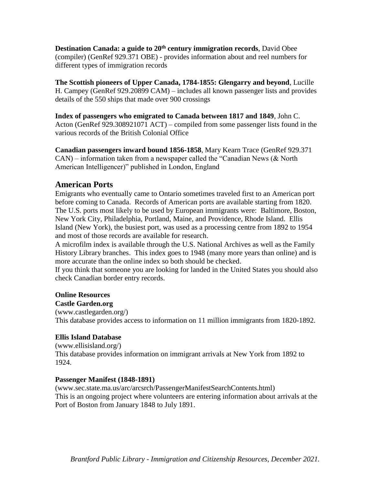**Destination Canada: a guide to 20th century immigration records**, David Obee (compiler) (GenRef 929.371 OBE) - provides information about and reel numbers for different types of immigration records

**The Scottish pioneers of Upper Canada, 1784-1855: Glengarry and beyond**, Lucille H. Campey (GenRef 929.20899 CAM) – includes all known passenger lists and provides details of the 550 ships that made over 900 crossings

#### **Index of passengers who emigrated to Canada between 1817 and 1849**, John C. Acton (GenRef 929.308921071 ACT) – compiled from some passenger lists found in the various records of the British Colonial Office

**Canadian passengers inward bound 1856-1858**, Mary Kearn Trace (GenRef 929.371  $CAN$ ) – information taken from a newspaper called the "Canadian News (& North American Intelligencer)" published in London, England

#### **American Ports**

Emigrants who eventually came to Ontario sometimes traveled first to an American port before coming to Canada. Records of American ports are available starting from 1820. The U.S. ports most likely to be used by European immigrants were: Baltimore, Boston, New York City, Philadelphia, Portland, Maine, and Providence, Rhode Island. Ellis Island (New York), the busiest port, was used as a processing centre from 1892 to 1954 and most of those records are available for research.

A microfilm index is available through the U.S. National Archives as well as the Family History Library branches. This index goes to 1948 (many more years than online) and is more accurate than the online index so both should be checked.

If you think that someone you are looking for landed in the United States you should also check Canadian border entry records.

#### **Online Resources**

#### **Castle Garden.org**

(www.castlegarden.org/) This database provides access to information on 11 million immigrants from 1820-1892.

#### **Ellis Island Database**

(www.ellisisland.org/) This database provides information on immigrant arrivals at New York from 1892 to 1924.

#### **Passenger Manifest (1848-1891)**

(www.sec.state.ma.us/arc/arcsrch/PassengerManifestSearchContents.html) This is an ongoing project where volunteers are entering information about arrivals at the Port of Boston from January 1848 to July 1891.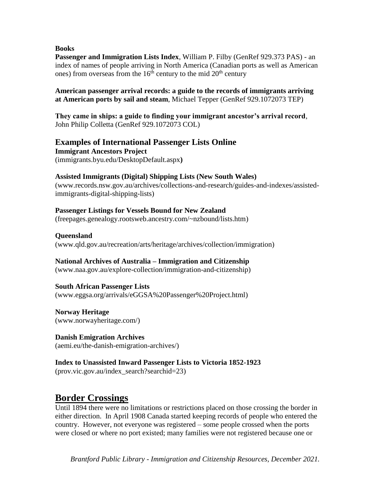#### **Books**

**Passenger and Immigration Lists Index**, William P. Filby (GenRef 929.373 PAS) - an index of names of people arriving in North America (Canadian ports as well as American ones) from overseas from the  $16<sup>th</sup>$  century to the mid  $20<sup>th</sup>$  century

**American passenger arrival records: a guide to the records of immigrants arriving at American ports by sail and steam**, Michael Tepper (GenRef 929.1072073 TEP)

**They came in ships: a guide to finding your immigrant ancestor's arrival record**, John Philip Colletta (GenRef 929.1072073 COL)

#### **Examples of International Passenger Lists Online**

**Immigrant Ancestors Project** (immigrants.byu.edu/DesktopDefault.aspx**)**

#### **Assisted Immigrants (Digital) Shipping Lists (New South Wales)**

(www.records.nsw.gov.au/archives/collections-and-research/guides-and-indexes/assistedimmigrants-digital-shipping-lists)

#### **Passenger Listings for Vessels Bound for New Zealand**

(freepages.genealogy.rootsweb.ancestry.com/~nzbound/lists.htm)

**Queensland**

(www.qld.gov.au/recreation/arts/heritage/archives/collection/immigration)

#### **National Archives of Australia – Immigration and Citizenship**

(www.naa.gov.au/explore-collection/immigration-and-citizenship)

**South African Passenger Lists**

(www.eggsa.org/arrivals/eGGSA%20Passenger%20Project.html)

**Norway Heritage** (www.norwayheritage.com/)

**Danish Emigration Archives** (aemi.eu/the-danish-emigration-archives/)

**Index to Unassisted Inward Passenger Lists to Victoria 1852-1923** (prov.vic.gov.au/index\_search?searchid=23)

### **Border Crossings**

Until 1894 there were no limitations or restrictions placed on those crossing the border in either direction. In April 1908 Canada started keeping records of people who entered the country. However, not everyone was registered – some people crossed when the ports were closed or where no port existed; many families were not registered because one or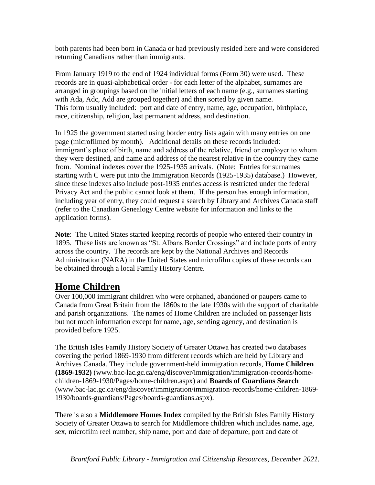both parents had been born in Canada or had previously resided here and were considered returning Canadians rather than immigrants.

From January 1919 to the end of 1924 individual forms (Form 30) were used. These records are in quasi-alphabetical order - for each letter of the alphabet, surnames are arranged in groupings based on the initial letters of each name (e.g., surnames starting with Ada, Adc, Add are grouped together) and then sorted by given name. This form usually included: port and date of entry, name, age, occupation, birthplace, race, citizenship, religion, last permanent address, and destination.

In 1925 the government started using border entry lists again with many entries on one page (microfilmed by month). Additional details on these records included: immigrant's place of birth, name and address of the relative, friend or employer to whom they were destined, and name and address of the nearest relative in the country they came from. Nominal indexes cover the 1925-1935 arrivals. (Note: Entries for surnames starting with C were put into the Immigration Records (1925-1935) database.) However, since these indexes also include post-1935 entries access is restricted under the federal Privacy Act and the public cannot look at them. If the person has enough information, including year of entry, they could request a search by Library and Archives Canada staff (refer to the Canadian Genealogy Centre website for information and links to the application forms).

**Note**: The United States started keeping records of people who entered their country in 1895. These lists are known as "St. Albans Border Crossings" and include ports of entry across the country. The records are kept by the National Archives and Records Administration (NARA) in the United States and microfilm copies of these records can be obtained through a local Family History Centre.

### **Home Children**

Over 100,000 immigrant children who were orphaned, abandoned or paupers came to Canada from Great Britain from the 1860s to the late 1930s with the support of charitable and parish organizations. The names of Home Children are included on passenger lists but not much information except for name, age, sending agency, and destination is provided before 1925.

The British Isles Family History Society of Greater Ottawa has created two databases covering the period 1869-1930 from different records which are held by Library and Archives Canada. They include government-held immigration records, **Home Children (1869-1932)** (www.bac-lac.gc.ca/eng/discover/immigration/immigration-records/homechildren-1869-1930/Pages/home-children.aspx) and **Boards of Guardians Search** (www.bac-lac.gc.ca/eng/discover/immigration/immigration-records/home-children-1869- 1930/boards-guardians/Pages/boards-guardians.aspx).

There is also a **Middlemore Homes Index** compiled by the British Isles Family History Society of Greater Ottawa to search for Middlemore children which includes name, age, sex, microfilm reel number, ship name, port and date of departure, port and date of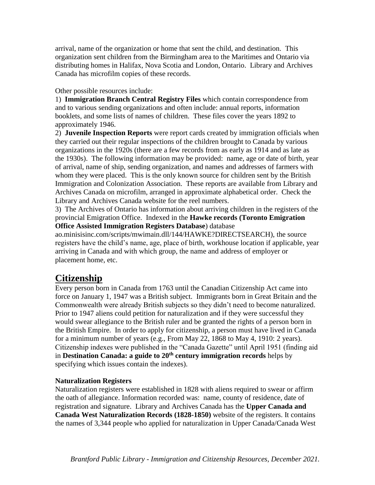arrival, name of the organization or home that sent the child, and destination. This organization sent children from the Birmingham area to the Maritimes and Ontario via distributing homes in Halifax, Nova Scotia and London, Ontario. Library and Archives Canada has microfilm copies of these records.

Other possible resources include:

1) **Immigration Branch Central Registry Files** which contain correspondence from and to various sending organizations and often include: annual reports, information booklets, and some lists of names of children. These files cover the years 1892 to approximately 1946.

2) **Juvenile Inspection Reports** were report cards created by immigration officials when they carried out their regular inspections of the children brought to Canada by various organizations in the 1920s (there are a few records from as early as 1914 and as late as the 1930s). The following information may be provided: name, age or date of birth, year of arrival, name of ship, sending organization, and names and addresses of farmers with whom they were placed. This is the only known source for children sent by the British Immigration and Colonization Association. These reports are available from Library and Archives Canada on microfilm, arranged in approximate alphabetical order. Check the Library and Archives Canada website for the reel numbers.

3) The Archives of Ontario has information about arriving children in the registers of the provincial Emigration Office. Indexed in the **Hawke records (Toronto Emigration Office Assisted Immigration Registers Database**) database

ao.minisisinc.com/scripts/mwimain.dll/144/HAWKE?DIRECTSEARCH), the source registers have the child's name, age, place of birth, workhouse location if applicable, year arriving in Canada and with which group, the name and address of employer or placement home, etc.

### **Citizenship**

Every person born in Canada from 1763 until the Canadian Citizenship Act came into force on January 1, 1947 was a British subject. Immigrants born in Great Britain and the Commonwealth were already British subjects so they didn't need to become naturalized. Prior to 1947 aliens could petition for naturalization and if they were successful they would swear allegiance to the British ruler and be granted the rights of a person born in the British Empire. In order to apply for citizenship, a person must have lived in Canada for a minimum number of years (e.g., From May 22, 1868 to May 4, 1910: 2 years). Citizenship indexes were published in the "Canada Gazette" until April 1951 (finding aid in **Destination Canada: a guide to 20th century immigration records** helps by specifying which issues contain the indexes).

#### **Naturalization Registers**

Naturalization registers were established in 1828 with aliens required to swear or affirm the oath of allegiance. Information recorded was: name, county of residence, date of registration and signature. Library and Archives Canada has the **Upper Canada and Canada West Naturalization Records (1828-1850)** website of the registers. It contains the names of 3,344 people who applied for naturalization in Upper Canada/Canada West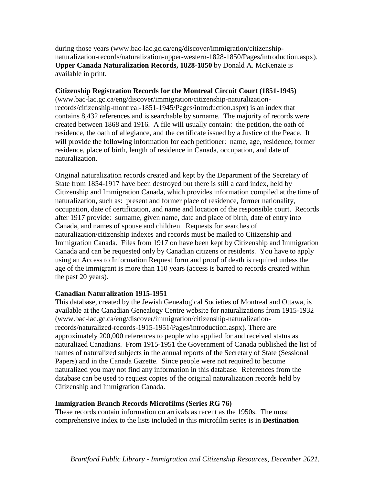during those years (www.bac-lac.gc.ca/eng/discover/immigration/citizenshipnaturalization-records/naturalization-upper-western-1828-1850/Pages/introduction.aspx). **Upper Canada Naturalization Records, 1828-1850** by Donald A. McKenzie is available in print.

#### **Citizenship Registration Records for the Montreal Circuit Court (1851-1945)**

(www.bac-lac.gc.ca/eng/discover/immigration/citizenship-naturalizationrecords/citizenship-montreal-1851-1945/Pages/introduction.aspx) is an index that contains 8,432 references and is searchable by surname. The majority of records were created between 1868 and 1916. A file will usually contain: the petition, the oath of residence, the oath of allegiance, and the certificate issued by a Justice of the Peace. It will provide the following information for each petitioner: name, age, residence, former residence, place of birth, length of residence in Canada, occupation, and date of naturalization.

Original naturalization records created and kept by the Department of the Secretary of State from 1854-1917 have been destroyed but there is still a card index, held by Citizenship and Immigration Canada, which provides information compiled at the time of naturalization, such as: present and former place of residence, former nationality, occupation, date of certification, and name and location of the responsible court. Records after 1917 provide: surname, given name, date and place of birth, date of entry into Canada, and names of spouse and children. Requests for searches of naturalization/citizenship indexes and records must be mailed to Citizenship and Immigration Canada. Files from 1917 on have been kept by Citizenship and Immigration Canada and can be requested only by Canadian citizens or residents. You have to apply using an Access to Information Request form and proof of death is required unless the age of the immigrant is more than 110 years (access is barred to records created within the past 20 years).

#### **Canadian Naturalization 1915-1951**

This database, created by the Jewish Genealogical Societies of Montreal and Ottawa, is available at the Canadian Genealogy Centre website for naturalizations from 1915-1932 (www.bac-lac.gc.ca/eng/discover/immigration/citizenship-naturalizationrecords/naturalized-records-1915-1951/Pages/introduction.aspx). There are approximately 200,000 references to people who applied for and received status as naturalized Canadians. From 1915-1951 the Government of Canada published the list of names of naturalized subjects in the annual reports of the Secretary of State (Sessional Papers) and in the Canada Gazette. Since people were not required to become naturalized you may not find any information in this database. References from the database can be used to request copies of the original naturalization records held by Citizenship and Immigration Canada.

#### **Immigration Branch Records Microfilms (Series RG 76)**

These records contain information on arrivals as recent as the 1950s. The most comprehensive index to the lists included in this microfilm series is in **Destination**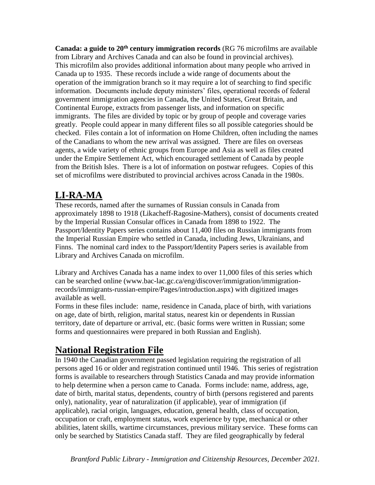**Canada: a guide to 20th century immigration records** (RG 76 microfilms are available from Library and Archives Canada and can also be found in provincial archives). This microfilm also provides additional information about many people who arrived in Canada up to 1935. These records include a wide range of documents about the operation of the immigration branch so it may require a lot of searching to find specific information. Documents include deputy ministers' files, operational records of federal government immigration agencies in Canada, the United States, Great Britain, and Continental Europe, extracts from passenger lists, and information on specific immigrants. The files are divided by topic or by group of people and coverage varies greatly. People could appear in many different files so all possible categories should be checked. Files contain a lot of information on Home Children, often including the names of the Canadians to whom the new arrival was assigned. There are files on overseas agents, a wide variety of ethnic groups from Europe and Asia as well as files created under the Empire Settlement Act, which encouraged settlement of Canada by people from the British Isles. There is a lot of information on postwar refugees. Copies of this set of microfilms were distributed to provincial archives across Canada in the 1980s.

## **LI-RA-MA**

These records, named after the surnames of Russian consuls in Canada from approximately 1898 to 1918 (Likacheff-Ragosine-Mathers), consist of documents created by the Imperial Russian Consular offices in Canada from 1898 to 1922. The Passport/Identity Papers series contains about 11,400 files on Russian immigrants from the Imperial Russian Empire who settled in Canada, including Jews, Ukrainians, and Finns. The nominal card index to the Passport/Identity Papers series is available from Library and Archives Canada on microfilm.

Library and Archives Canada has a name index to over 11,000 files of this series which can be searched online (www.bac-lac.gc.ca/eng/discover/immigration/immigrationrecords/immigrants-russian-empire/Pages/introduction.aspx) with digitized images available as well.

Forms in these files include: name, residence in Canada, place of birth, with variations on age, date of birth, religion, marital status, nearest kin or dependents in Russian territory, date of departure or arrival, etc. (basic forms were written in Russian; some forms and questionnaires were prepared in both Russian and English).

# **National Registration File**

In 1940 the Canadian government passed legislation requiring the registration of all persons aged 16 or older and registration continued until 1946. This series of registration forms is available to researchers through Statistics Canada and may provide information to help determine when a person came to Canada. Forms include: name, address, age, date of birth, marital status, dependents, country of birth (persons registered and parents only), nationality, year of naturalization (if applicable), year of immigration (if applicable), racial origin, languages, education, general health, class of occupation, occupation or craft, employment status, work experience by type, mechanical or other abilities, latent skills, wartime circumstances, previous military service. These forms can only be searched by Statistics Canada staff. They are filed geographically by federal